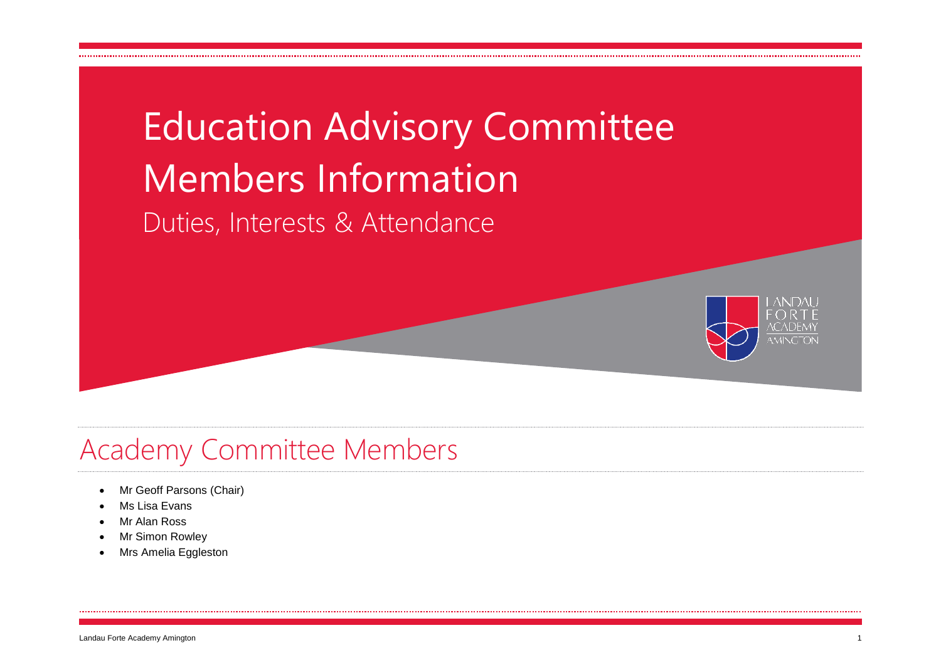

### Academy Committee Members

- Mr Geoff Parsons (Chair)
- Ms Lisa Evans
- Mr Alan Ross
- Mr Simon Rowley
- Mrs Amelia Eggleston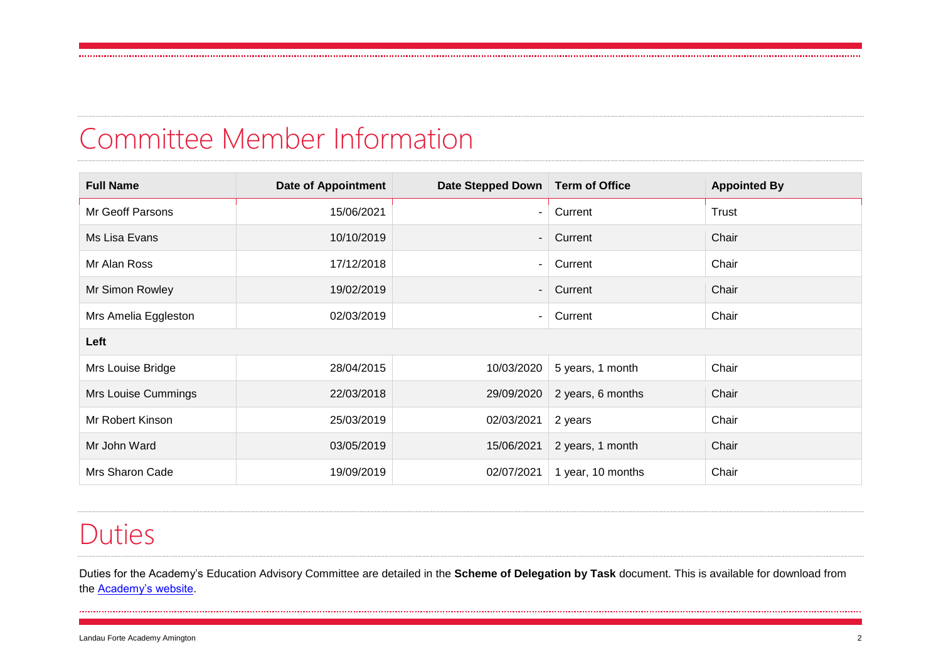#### Committee Member Information

| <b>Full Name</b>     | <b>Date of Appointment</b> | Date Stepped Down | <b>Term of Office</b> | <b>Appointed By</b> |  |  |  |  |  |
|----------------------|----------------------------|-------------------|-----------------------|---------------------|--|--|--|--|--|
| Mr Geoff Parsons     | 15/06/2021                 |                   | Current               | Trust               |  |  |  |  |  |
| Ms Lisa Evans        | 10/10/2019                 |                   | Current               | Chair               |  |  |  |  |  |
| Mr Alan Ross         | 17/12/2018                 |                   | Current               | Chair               |  |  |  |  |  |
| Mr Simon Rowley      | 19/02/2019                 |                   | Current               | Chair               |  |  |  |  |  |
| Mrs Amelia Eggleston | 02/03/2019                 |                   | Current               | Chair               |  |  |  |  |  |
| Left                 |                            |                   |                       |                     |  |  |  |  |  |
| Mrs Louise Bridge    | 28/04/2015                 | 10/03/2020        | 5 years, 1 month      | Chair               |  |  |  |  |  |
| Mrs Louise Cummings  | 22/03/2018                 | 29/09/2020        | 2 years, 6 months     | Chair               |  |  |  |  |  |
| Mr Robert Kinson     | 25/03/2019                 | 02/03/2021        | 2 years               | Chair               |  |  |  |  |  |
| Mr John Ward         | 03/05/2019                 | 15/06/2021        | 2 years, 1 month      | Chair               |  |  |  |  |  |
| Mrs Sharon Cade      | 19/09/2019                 | 02/07/2021        | 1 year, 10 months     | Chair               |  |  |  |  |  |

#### Duties

Duties for the Academy's Education Advisory Committee are detailed in the **Scheme of Delegation by Task** document. This is available for download from the [Academy's website.](http://www.lfata.org.uk/about/staff-governors/#governors)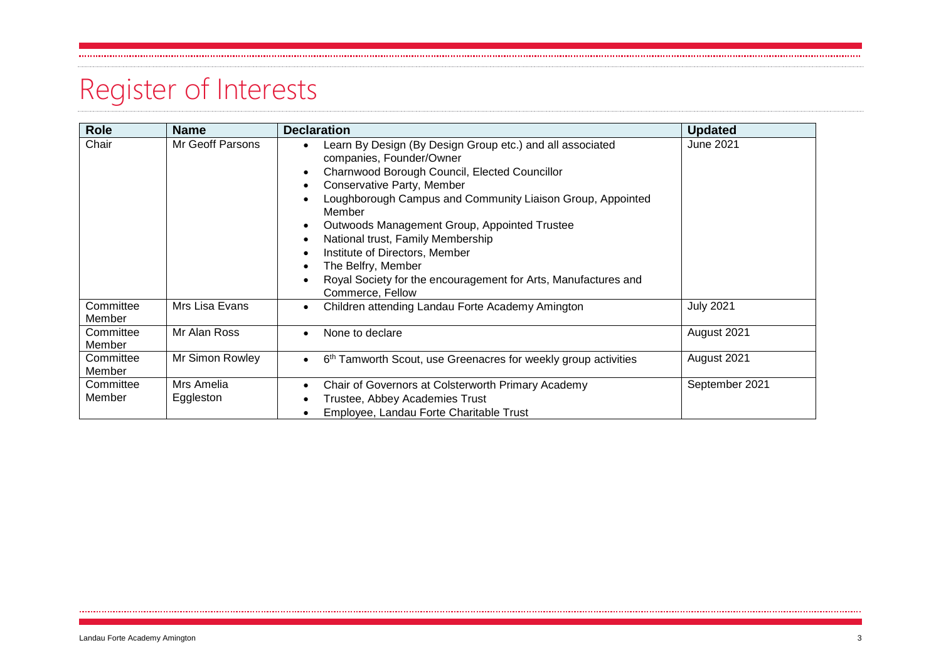# Register of Interests

| <b>Role</b>         | <b>Name</b>             | <b>Declaration</b>                                                                                                                                                                                                                                                                                                                                                                                                                                                                                     | <b>Updated</b>   |
|---------------------|-------------------------|--------------------------------------------------------------------------------------------------------------------------------------------------------------------------------------------------------------------------------------------------------------------------------------------------------------------------------------------------------------------------------------------------------------------------------------------------------------------------------------------------------|------------------|
| Chair               | Mr Geoff Parsons        | Learn By Design (By Design Group etc.) and all associated<br>$\bullet$<br>companies, Founder/Owner<br>Charnwood Borough Council, Elected Councillor<br>Conservative Party, Member<br>٠<br>Loughborough Campus and Community Liaison Group, Appointed<br>Member<br>Outwoods Management Group, Appointed Trustee<br>٠<br>National trust, Family Membership<br>Institute of Directors, Member<br>The Belfry, Member<br>Royal Society for the encouragement for Arts, Manufactures and<br>Commerce, Fellow | <b>June 2021</b> |
| Committee<br>Member | Mrs Lisa Evans          | Children attending Landau Forte Academy Amington<br>$\bullet$                                                                                                                                                                                                                                                                                                                                                                                                                                          | <b>July 2021</b> |
| Committee<br>Member | Mr Alan Ross            | None to declare<br>$\bullet$                                                                                                                                                                                                                                                                                                                                                                                                                                                                           | August 2021      |
| Committee<br>Member | Mr Simon Rowley         | 6 <sup>th</sup> Tamworth Scout, use Greenacres for weekly group activities<br>$\bullet$                                                                                                                                                                                                                                                                                                                                                                                                                | August 2021      |
| Committee<br>Member | Mrs Amelia<br>Eggleston | Chair of Governors at Colsterworth Primary Academy<br>٠<br>Trustee, Abbey Academies Trust<br>Employee, Landau Forte Charitable Trust                                                                                                                                                                                                                                                                                                                                                                   | September 2021   |